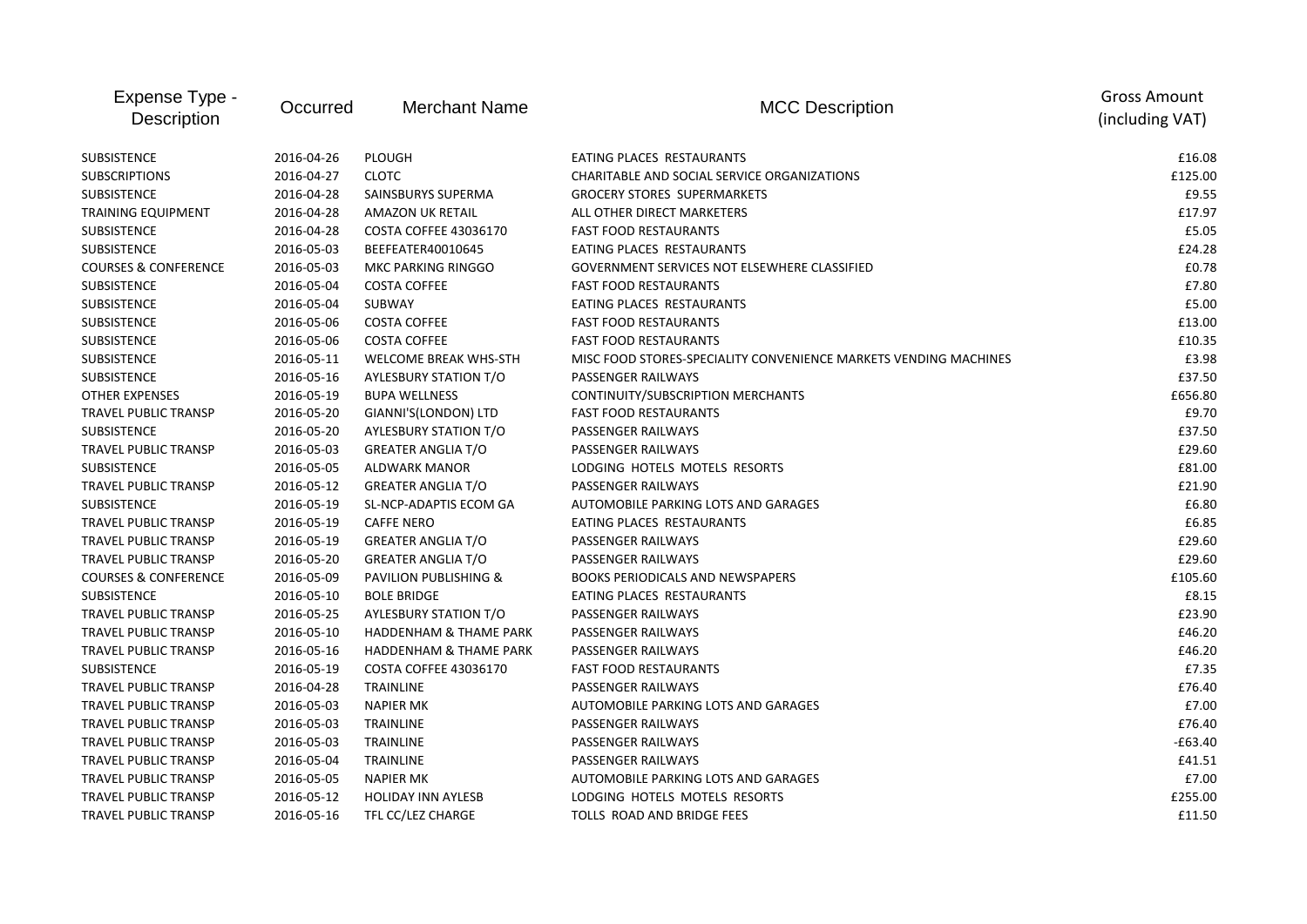| Expense Type -<br>Occurred<br>Description |            | <b>Merchant Name</b>              | <b>MCC Description</b>                                           | <b>Gross Amount</b><br>(including VAT) |
|-------------------------------------------|------------|-----------------------------------|------------------------------------------------------------------|----------------------------------------|
| SUBSISTENCE                               | 2016-04-26 | <b>PLOUGH</b>                     | EATING PLACES RESTAURANTS                                        | £16.08                                 |
| <b>SUBSCRIPTIONS</b>                      | 2016-04-27 | <b>CLOTC</b>                      | CHARITABLE AND SOCIAL SERVICE ORGANIZATIONS                      | £125.00                                |
| <b>SUBSISTENCE</b>                        | 2016-04-28 | SAINSBURYS SUPERMA                | <b>GROCERY STORES SUPERMARKETS</b>                               | £9.55                                  |
| TRAINING EQUIPMENT                        | 2016-04-28 | <b>AMAZON UK RETAIL</b>           | ALL OTHER DIRECT MARKETERS                                       | £17.97                                 |
| <b>SUBSISTENCE</b>                        | 2016-04-28 | <b>COSTA COFFEE 43036170</b>      | <b>FAST FOOD RESTAURANTS</b>                                     | £5.05                                  |
| SUBSISTENCE                               | 2016-05-03 | BEEFEATER40010645                 | EATING PLACES RESTAURANTS                                        | £24.28                                 |
| <b>COURSES &amp; CONFERENCE</b>           | 2016-05-03 | <b>MKC PARKING RINGGO</b>         | <b>GOVERNMENT SERVICES NOT ELSEWHERE CLASSIFIED</b>              | £0.78                                  |
| SUBSISTENCE                               | 2016-05-04 | <b>COSTA COFFEE</b>               | <b>FAST FOOD RESTAURANTS</b>                                     | £7.80                                  |
| <b>SUBSISTENCE</b>                        | 2016-05-04 | SUBWAY                            | EATING PLACES RESTAURANTS                                        | £5.00                                  |
| <b>SUBSISTENCE</b>                        | 2016-05-06 | <b>COSTA COFFEE</b>               | <b>FAST FOOD RESTAURANTS</b>                                     | £13.00                                 |
| <b>SUBSISTENCE</b>                        | 2016-05-06 | <b>COSTA COFFEE</b>               | <b>FAST FOOD RESTAURANTS</b>                                     | £10.35                                 |
| <b>SUBSISTENCE</b>                        | 2016-05-11 | <b>WELCOME BREAK WHS-STH</b>      | MISC FOOD STORES-SPECIALITY CONVENIENCE MARKETS VENDING MACHINES | £3.98                                  |
| <b>SUBSISTENCE</b>                        | 2016-05-16 | <b>AYLESBURY STATION T/O</b>      | PASSENGER RAILWAYS                                               | £37.50                                 |
| <b>OTHER EXPENSES</b>                     | 2016-05-19 | <b>BUPA WELLNESS</b>              | CONTINUITY/SUBSCRIPTION MERCHANTS                                | £656.80                                |
| <b>TRAVEL PUBLIC TRANSP</b>               | 2016-05-20 | GIANNI'S(LONDON) LTD              | <b>FAST FOOD RESTAURANTS</b>                                     | £9.70                                  |
| <b>SUBSISTENCE</b>                        | 2016-05-20 | AYLESBURY STATION T/O             | PASSENGER RAILWAYS                                               | £37.50                                 |
| TRAVEL PUBLIC TRANSP                      | 2016-05-03 | <b>GREATER ANGLIA T/O</b>         | PASSENGER RAILWAYS                                               | £29.60                                 |
| <b>SUBSISTENCE</b>                        | 2016-05-05 | <b>ALDWARK MANOR</b>              | LODGING HOTELS MOTELS RESORTS                                    | £81.00                                 |
| TRAVEL PUBLIC TRANSP                      | 2016-05-12 | <b>GREATER ANGLIA T/O</b>         | PASSENGER RAILWAYS                                               | £21.90                                 |
| <b>SUBSISTENCE</b>                        | 2016-05-19 | SL-NCP-ADAPTIS ECOM GA            | AUTOMOBILE PARKING LOTS AND GARAGES                              | £6.80                                  |
| <b>TRAVEL PUBLIC TRANSP</b>               | 2016-05-19 | <b>CAFFE NERO</b>                 | EATING PLACES RESTAURANTS                                        | £6.85                                  |
| TRAVEL PUBLIC TRANSP                      | 2016-05-19 | <b>GREATER ANGLIA T/O</b>         | PASSENGER RAILWAYS                                               | £29.60                                 |
| <b>TRAVEL PUBLIC TRANSP</b>               | 2016-05-20 | <b>GREATER ANGLIA T/O</b>         | <b>PASSENGER RAILWAYS</b>                                        | £29.60                                 |
| <b>COURSES &amp; CONFERENCE</b>           | 2016-05-09 | PAVILION PUBLISHING &             | <b>BOOKS PERIODICALS AND NEWSPAPERS</b>                          | £105.60                                |
| <b>SUBSISTENCE</b>                        | 2016-05-10 | <b>BOLE BRIDGE</b>                | EATING PLACES RESTAURANTS                                        | £8.15                                  |
| <b>TRAVEL PUBLIC TRANSP</b>               | 2016-05-25 | <b>AYLESBURY STATION T/O</b>      | PASSENGER RAILWAYS                                               | £23.90                                 |
| TRAVEL PUBLIC TRANSP                      | 2016-05-10 | <b>HADDENHAM &amp; THAME PARK</b> | PASSENGER RAILWAYS                                               | £46.20                                 |
| <b>TRAVEL PUBLIC TRANSP</b>               | 2016-05-16 | <b>HADDENHAM &amp; THAME PARK</b> | PASSENGER RAILWAYS                                               | £46.20                                 |
| <b>SUBSISTENCE</b>                        | 2016-05-19 | <b>COSTA COFFEE 43036170</b>      | <b>FAST FOOD RESTAURANTS</b>                                     | £7.35                                  |
| TRAVEL PUBLIC TRANSP                      | 2016-04-28 | <b>TRAINLINE</b>                  | PASSENGER RAILWAYS                                               | £76.40                                 |
| TRAVEL PUBLIC TRANSP                      | 2016-05-03 | <b>NAPIER MK</b>                  | AUTOMOBILE PARKING LOTS AND GARAGES                              | £7.00                                  |
| <b>TRAVEL PUBLIC TRANSP</b>               | 2016-05-03 | TRAINLINE                         | <b>PASSENGER RAILWAYS</b>                                        | £76.40                                 |
| <b>TRAVEL PUBLIC TRANSP</b>               | 2016-05-03 | TRAINLINE                         | PASSENGER RAILWAYS                                               | -£63.40                                |
| TRAVEL PUBLIC TRANSP                      | 2016-05-04 | <b>TRAINLINE</b>                  | <b>PASSENGER RAILWAYS</b>                                        | £41.51                                 |
| <b>TRAVEL PUBLIC TRANSP</b>               | 2016-05-05 | <b>NAPIER MK</b>                  | AUTOMOBILE PARKING LOTS AND GARAGES                              | £7.00                                  |
| TRAVEL PUBLIC TRANSP                      | 2016-05-12 | <b>HOLIDAY INN AYLESB</b>         | LODGING HOTELS MOTELS RESORTS                                    | £255.00                                |
| <b>TRAVEL PUBLIC TRANSP</b>               | 2016-05-16 | TFL CC/LEZ CHARGE                 | TOLLS ROAD AND BRIDGE FEES                                       | £11.50                                 |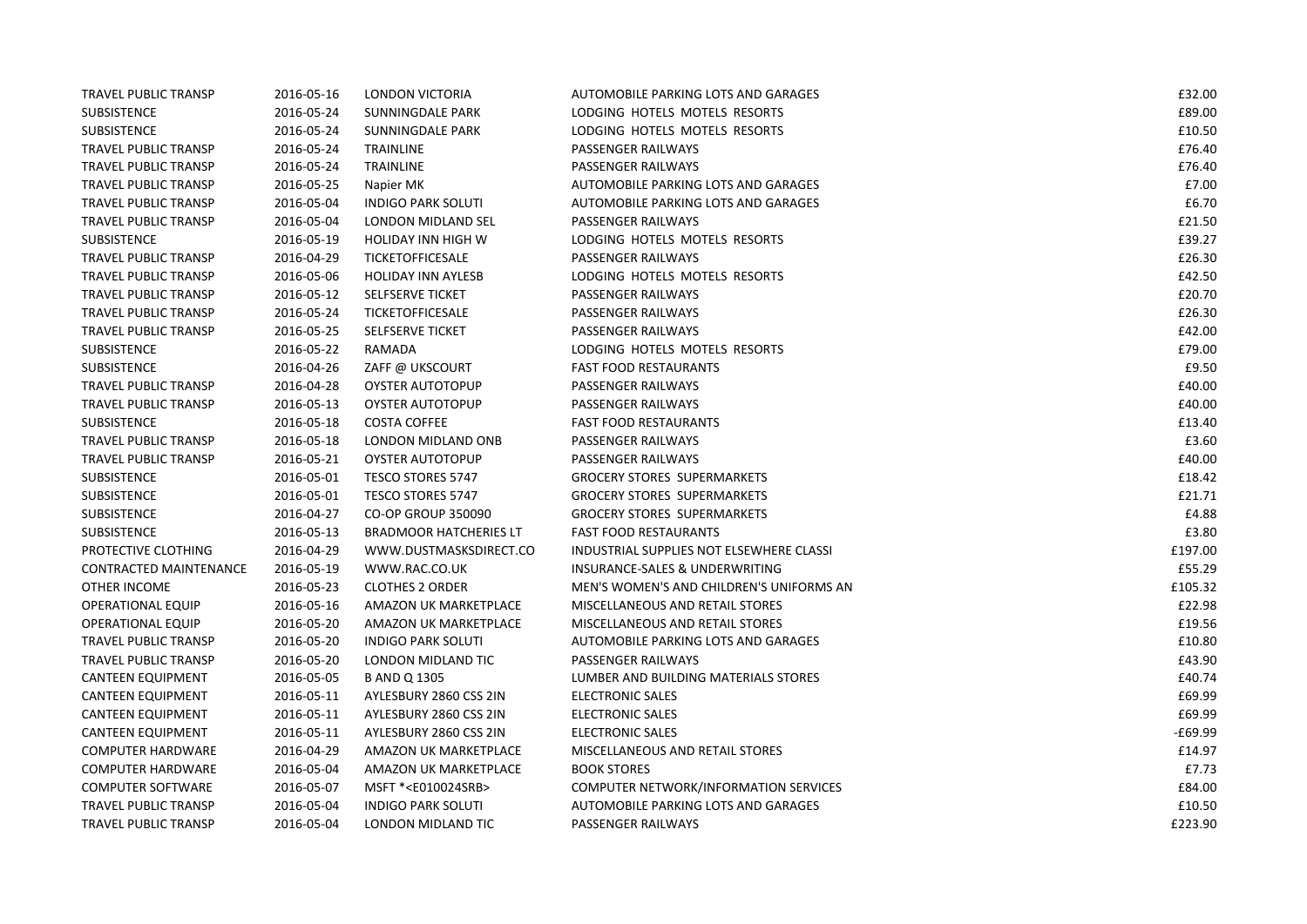| <b>TRAVEL PUBLIC TRANSP</b> | 2016-05-16 | <b>LONDON VICTORIA</b>           | AUTOMOBILE PARKING LOTS AND GARAGES      | £32.00    |
|-----------------------------|------------|----------------------------------|------------------------------------------|-----------|
| <b>SUBSISTENCE</b>          | 2016-05-24 | SUNNINGDALE PARK                 | LODGING HOTELS MOTELS RESORTS            | £89.00    |
| <b>SUBSISTENCE</b>          | 2016-05-24 | SUNNINGDALE PARK                 | LODGING HOTELS MOTELS RESORTS            | £10.50    |
| <b>TRAVEL PUBLIC TRANSP</b> | 2016-05-24 | <b>TRAINLINE</b>                 | PASSENGER RAILWAYS                       | £76.40    |
| TRAVEL PUBLIC TRANSP        | 2016-05-24 | TRAINLINE                        | <b>PASSENGER RAILWAYS</b>                | £76.40    |
| TRAVEL PUBLIC TRANSP        | 2016-05-25 | Napier MK                        | AUTOMOBILE PARKING LOTS AND GARAGES      | £7.00     |
| TRAVEL PUBLIC TRANSP        | 2016-05-04 | <b>INDIGO PARK SOLUTI</b>        | AUTOMOBILE PARKING LOTS AND GARAGES      | £6.70     |
| TRAVEL PUBLIC TRANSP        | 2016-05-04 | LONDON MIDLAND SEL               | PASSENGER RAILWAYS                       | £21.50    |
| <b>SUBSISTENCE</b>          | 2016-05-19 | <b>HOLIDAY INN HIGH W</b>        | LODGING HOTELS MOTELS RESORTS            | £39.27    |
| TRAVEL PUBLIC TRANSP        | 2016-04-29 | <b>TICKETOFFICESALE</b>          | PASSENGER RAILWAYS                       | £26.30    |
| <b>TRAVEL PUBLIC TRANSP</b> | 2016-05-06 | <b>HOLIDAY INN AYLESB</b>        | LODGING HOTELS MOTELS RESORTS            | £42.50    |
| <b>TRAVEL PUBLIC TRANSP</b> | 2016-05-12 | SELFSERVE TICKET                 | PASSENGER RAILWAYS                       | £20.70    |
| <b>TRAVEL PUBLIC TRANSP</b> | 2016-05-24 | <b>TICKETOFFICESALE</b>          | PASSENGER RAILWAYS                       | £26.30    |
| <b>TRAVEL PUBLIC TRANSP</b> | 2016-05-25 | SELFSERVE TICKET                 | PASSENGER RAILWAYS                       | £42.00    |
| SUBSISTENCE                 | 2016-05-22 | RAMADA                           | LODGING HOTELS MOTELS RESORTS            | £79.00    |
| SUBSISTENCE                 | 2016-04-26 | ZAFF @ UKSCOURT                  | <b>FAST FOOD RESTAURANTS</b>             | £9.50     |
| TRAVEL PUBLIC TRANSP        | 2016-04-28 | <b>OYSTER AUTOTOPUP</b>          | PASSENGER RAILWAYS                       | £40.00    |
| TRAVEL PUBLIC TRANSP        | 2016-05-13 | <b>OYSTER AUTOTOPUP</b>          | PASSENGER RAILWAYS                       | £40.00    |
| <b>SUBSISTENCE</b>          | 2016-05-18 | <b>COSTA COFFEE</b>              | <b>FAST FOOD RESTAURANTS</b>             | £13.40    |
| <b>TRAVEL PUBLIC TRANSP</b> | 2016-05-18 | LONDON MIDLAND ONB               | PASSENGER RAILWAYS                       | £3.60     |
| TRAVEL PUBLIC TRANSP        | 2016-05-21 | <b>OYSTER AUTOTOPUP</b>          | PASSENGER RAILWAYS                       | £40.00    |
| <b>SUBSISTENCE</b>          | 2016-05-01 | TESCO STORES 5747                | <b>GROCERY STORES SUPERMARKETS</b>       | £18.42    |
| <b>SUBSISTENCE</b>          | 2016-05-01 | <b>TESCO STORES 5747</b>         | <b>GROCERY STORES SUPERMARKETS</b>       | £21.71    |
| <b>SUBSISTENCE</b>          | 2016-04-27 | <b>CO-OP GROUP 350090</b>        | <b>GROCERY STORES SUPERMARKETS</b>       | £4.88     |
| SUBSISTENCE                 | 2016-05-13 | <b>BRADMOOR HATCHERIES LT</b>    | <b>FAST FOOD RESTAURANTS</b>             | £3.80     |
| PROTECTIVE CLOTHING         | 2016-04-29 | WWW.DUSTMASKSDIRECT.CO           | INDUSTRIAL SUPPLIES NOT ELSEWHERE CLASSI | £197.00   |
| CONTRACTED MAINTENANCE      | 2016-05-19 | WWW.RAC.CO.UK                    | INSURANCE-SALES & UNDERWRITING           | £55.29    |
| OTHER INCOME                | 2016-05-23 | <b>CLOTHES 2 ORDER</b>           | MEN'S WOMEN'S AND CHILDREN'S UNIFORMS AN | £105.32   |
| <b>OPERATIONAL EQUIP</b>    | 2016-05-16 | AMAZON UK MARKETPLACE            | MISCELLANEOUS AND RETAIL STORES          | £22.98    |
| <b>OPERATIONAL EQUIP</b>    | 2016-05-20 | AMAZON UK MARKETPLACE            | MISCELLANEOUS AND RETAIL STORES          | £19.56    |
| TRAVEL PUBLIC TRANSP        | 2016-05-20 | <b>INDIGO PARK SOLUTI</b>        | AUTOMOBILE PARKING LOTS AND GARAGES      | £10.80    |
| TRAVEL PUBLIC TRANSP        | 2016-05-20 | LONDON MIDLAND TIC               | PASSENGER RAILWAYS                       | £43.90    |
| <b>CANTEEN EQUIPMENT</b>    | 2016-05-05 | <b>B AND Q 1305</b>              | LUMBER AND BUILDING MATERIALS STORES     | £40.74    |
| <b>CANTEEN EQUIPMENT</b>    | 2016-05-11 | AYLESBURY 2860 CSS 2IN           | <b>ELECTRONIC SALES</b>                  | £69.99    |
| <b>CANTEEN EQUIPMENT</b>    | 2016-05-11 | AYLESBURY 2860 CSS 2IN           | <b>ELECTRONIC SALES</b>                  | £69.99    |
| <b>CANTEEN EQUIPMENT</b>    | 2016-05-11 | AYLESBURY 2860 CSS 2IN           | <b>ELECTRONIC SALES</b>                  | $-£69.99$ |
| <b>COMPUTER HARDWARE</b>    | 2016-04-29 | AMAZON UK MARKETPLACE            | MISCELLANEOUS AND RETAIL STORES          | £14.97    |
| <b>COMPUTER HARDWARE</b>    | 2016-05-04 | AMAZON UK MARKETPLACE            | <b>BOOK STORES</b>                       | £7.73     |
| <b>COMPUTER SOFTWARE</b>    | 2016-05-07 | MSFT * <e010024srb></e010024srb> | COMPUTER NETWORK/INFORMATION SERVICES    | £84.00    |
| <b>TRAVEL PUBLIC TRANSP</b> | 2016-05-04 | <b>INDIGO PARK SOLUTI</b>        | AUTOMOBILE PARKING LOTS AND GARAGES      | £10.50    |
| <b>TRAVEL PUBLIC TRANSP</b> | 2016-05-04 | LONDON MIDLAND TIC               | PASSENGER RAILWAYS                       | £223.90   |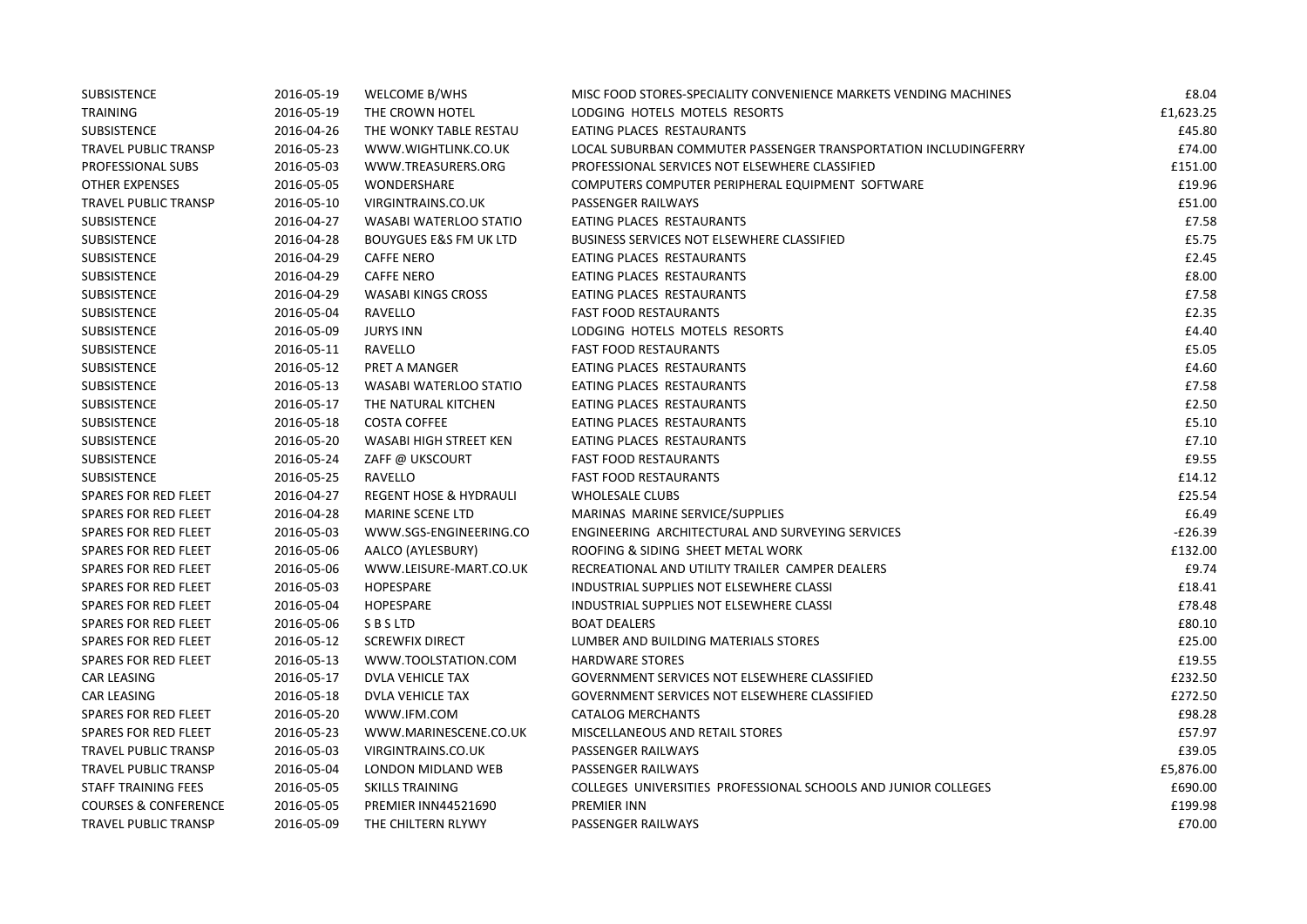| <b>SUBSISTENCE</b>              | 2016-05-19 | WELCOME B/WHS                     | MISC FOOD STORES-SPECIALITY CONVENIENCE MARKETS VENDING MACHINES | £8.04     |
|---------------------------------|------------|-----------------------------------|------------------------------------------------------------------|-----------|
| TRAINING                        | 2016-05-19 | THE CROWN HOTEL                   | LODGING HOTELS MOTELS RESORTS                                    | £1,623.25 |
| <b>SUBSISTENCE</b>              | 2016-04-26 | THE WONKY TABLE RESTAU            | EATING PLACES RESTAURANTS                                        | £45.80    |
| <b>TRAVEL PUBLIC TRANSP</b>     | 2016-05-23 | WWW.WIGHTLINK.CO.UK               | LOCAL SUBURBAN COMMUTER PASSENGER TRANSPORTATION INCLUDINGFERRY  | £74.00    |
| PROFESSIONAL SUBS               | 2016-05-03 | WWW.TREASURERS.ORG                | PROFESSIONAL SERVICES NOT ELSEWHERE CLASSIFIED                   | £151.00   |
| <b>OTHER EXPENSES</b>           | 2016-05-05 | WONDERSHARE                       | COMPUTERS COMPUTER PERIPHERAL EQUIPMENT SOFTWARE                 | £19.96    |
| TRAVEL PUBLIC TRANSP            | 2016-05-10 | VIRGINTRAINS.CO.UK                | PASSENGER RAILWAYS                                               | £51.00    |
| <b>SUBSISTENCE</b>              | 2016-04-27 | WASABI WATERLOO STATIO            | EATING PLACES RESTAURANTS                                        | £7.58     |
| <b>SUBSISTENCE</b>              | 2016-04-28 | <b>BOUYGUES E&amp;S FM UK LTD</b> | <b>BUSINESS SERVICES NOT ELSEWHERE CLASSIFIED</b>                | £5.75     |
| <b>SUBSISTENCE</b>              | 2016-04-29 | <b>CAFFE NERO</b>                 | EATING PLACES RESTAURANTS                                        | £2.45     |
| <b>SUBSISTENCE</b>              | 2016-04-29 | <b>CAFFE NERO</b>                 | EATING PLACES RESTAURANTS                                        | £8.00     |
| <b>SUBSISTENCE</b>              | 2016-04-29 | <b>WASABI KINGS CROSS</b>         | EATING PLACES RESTAURANTS                                        | £7.58     |
| SUBSISTENCE                     | 2016-05-04 | RAVELLO                           | <b>FAST FOOD RESTAURANTS</b>                                     | £2.35     |
| <b>SUBSISTENCE</b>              | 2016-05-09 | <b>JURYS INN</b>                  | LODGING HOTELS MOTELS RESORTS                                    | £4.40     |
| <b>SUBSISTENCE</b>              | 2016-05-11 | RAVELLO                           | <b>FAST FOOD RESTAURANTS</b>                                     | £5.05     |
| <b>SUBSISTENCE</b>              | 2016-05-12 | PRET A MANGER                     | EATING PLACES RESTAURANTS                                        | £4.60     |
| <b>SUBSISTENCE</b>              | 2016-05-13 | WASABI WATERLOO STATIO            | EATING PLACES RESTAURANTS                                        | £7.58     |
| <b>SUBSISTENCE</b>              | 2016-05-17 | THE NATURAL KITCHEN               | EATING PLACES RESTAURANTS                                        | £2.50     |
| <b>SUBSISTENCE</b>              | 2016-05-18 | <b>COSTA COFFEE</b>               | EATING PLACES RESTAURANTS                                        | £5.10     |
| <b>SUBSISTENCE</b>              | 2016-05-20 | WASABI HIGH STREET KEN            | EATING PLACES RESTAURANTS                                        | £7.10     |
| <b>SUBSISTENCE</b>              | 2016-05-24 | ZAFF @ UKSCOURT                   | <b>FAST FOOD RESTAURANTS</b>                                     | £9.55     |
| <b>SUBSISTENCE</b>              | 2016-05-25 | RAVELLO                           | <b>FAST FOOD RESTAURANTS</b>                                     | £14.12    |
| <b>SPARES FOR RED FLEET</b>     | 2016-04-27 | <b>REGENT HOSE &amp; HYDRAULI</b> | <b>WHOLESALE CLUBS</b>                                           | £25.54    |
| <b>SPARES FOR RED FLEET</b>     | 2016-04-28 | <b>MARINE SCENE LTD</b>           | MARINAS MARINE SERVICE/SUPPLIES                                  | £6.49     |
| <b>SPARES FOR RED FLEET</b>     | 2016-05-03 | WWW.SGS-ENGINEERING.CO            | ENGINEERING ARCHITECTURAL AND SURVEYING SERVICES                 | E26.39-   |
| <b>SPARES FOR RED FLEET</b>     | 2016-05-06 | AALCO (AYLESBURY)                 | ROOFING & SIDING SHEET METAL WORK                                | £132.00   |
| <b>SPARES FOR RED FLEET</b>     | 2016-05-06 | WWW.LEISURE-MART.CO.UK            | RECREATIONAL AND UTILITY TRAILER CAMPER DEALERS                  | £9.74     |
| <b>SPARES FOR RED FLEET</b>     | 2016-05-03 | HOPESPARE                         | INDUSTRIAL SUPPLIES NOT ELSEWHERE CLASSI                         | £18.41    |
| <b>SPARES FOR RED FLEET</b>     | 2016-05-04 | HOPESPARE                         | INDUSTRIAL SUPPLIES NOT ELSEWHERE CLASSI                         | £78.48    |
| <b>SPARES FOR RED FLEET</b>     | 2016-05-06 | S B S LTD                         | <b>BOAT DEALERS</b>                                              | £80.10    |
| <b>SPARES FOR RED FLEET</b>     | 2016-05-12 | <b>SCREWFIX DIRECT</b>            | LUMBER AND BUILDING MATERIALS STORES                             | £25.00    |
| <b>SPARES FOR RED FLEET</b>     | 2016-05-13 | WWW.TOOLSTATION.COM               | <b>HARDWARE STORES</b>                                           | £19.55    |
| <b>CAR LEASING</b>              | 2016-05-17 | <b>DVLA VEHICLE TAX</b>           | GOVERNMENT SERVICES NOT ELSEWHERE CLASSIFIED                     | £232.50   |
| <b>CAR LEASING</b>              | 2016-05-18 | DVLA VEHICLE TAX                  | GOVERNMENT SERVICES NOT ELSEWHERE CLASSIFIED                     | £272.50   |
| <b>SPARES FOR RED FLEET</b>     | 2016-05-20 | WWW.IFM.COM                       | CATALOG MERCHANTS                                                | £98.28    |
| <b>SPARES FOR RED FLEET</b>     | 2016-05-23 | WWW.MARINESCENE.CO.UK             | MISCELLANEOUS AND RETAIL STORES                                  | £57.97    |
| TRAVEL PUBLIC TRANSP            | 2016-05-03 | VIRGINTRAINS.CO.UK                | PASSENGER RAILWAYS                                               | £39.05    |
| TRAVEL PUBLIC TRANSP            | 2016-05-04 | LONDON MIDLAND WEB                | PASSENGER RAILWAYS                                               | £5,876.00 |
| <b>STAFF TRAINING FEES</b>      | 2016-05-05 | <b>SKILLS TRAINING</b>            | COLLEGES UNIVERSITIES PROFESSIONAL SCHOOLS AND JUNIOR COLLEGES   | £690.00   |
| <b>COURSES &amp; CONFERENCE</b> | 2016-05-05 | PREMIER INN44521690               | PREMIER INN                                                      | £199.98   |
| TRAVEL PUBLIC TRANSP            | 2016-05-09 | THE CHILTERN RLYWY                | PASSENGER RAILWAYS                                               | £70.00    |